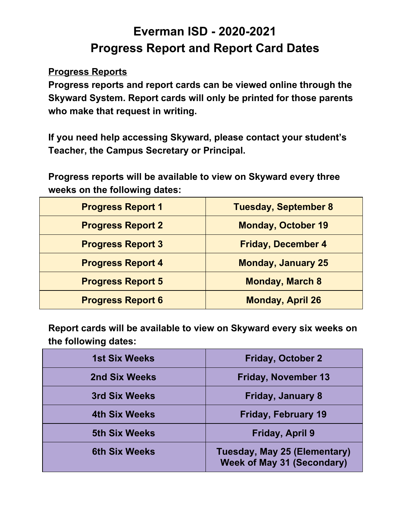## **Everman ISD - 2020-2021 Progress Report and Report Card Dates**

## **Progress Reports**

 **Progress reports and report cards can be viewed online through the Skyward System. Report cards will only be printed for those parents who make that request in writing.**

 **If you need help accessing Skyward, please contact your student's Teacher, the Campus Secretary or Principal.**

 **Progress reports will be available to view on Skyward every three weeks on the following dates:**

| <b>Progress Report 1</b> | <b>Tuesday, September 8</b> |
|--------------------------|-----------------------------|
| <b>Progress Report 2</b> | <b>Monday, October 19</b>   |
| <b>Progress Report 3</b> | <b>Friday, December 4</b>   |
| <b>Progress Report 4</b> | <b>Monday, January 25</b>   |
| <b>Progress Report 5</b> | <b>Monday, March 8</b>      |
| <b>Progress Report 6</b> | <b>Monday, April 26</b>     |

 **Report cards will be available to view on Skyward every six weeks on the following dates:**

| <b>1st Six Weeks</b> | <b>Friday, October 2</b>                                                 |
|----------------------|--------------------------------------------------------------------------|
| 2nd Six Weeks        | <b>Friday, November 13</b>                                               |
| 3rd Six Weeks        | <b>Friday, January 8</b>                                                 |
| <b>4th Six Weeks</b> | <b>Friday, February 19</b>                                               |
| <b>5th Six Weeks</b> | Friday, April 9                                                          |
| <b>6th Six Weeks</b> | <b>Tuesday, May 25 (Elementary)</b><br><b>Week of May 31 (Secondary)</b> |